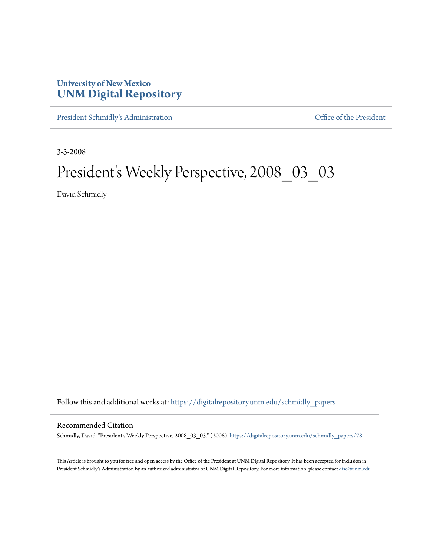## **University of New Mexico [UNM Digital Repository](https://digitalrepository.unm.edu?utm_source=digitalrepository.unm.edu%2Fschmidly_papers%2F78&utm_medium=PDF&utm_campaign=PDFCoverPages)**

[President Schmidly's Administration](https://digitalrepository.unm.edu/schmidly_papers?utm_source=digitalrepository.unm.edu%2Fschmidly_papers%2F78&utm_medium=PDF&utm_campaign=PDFCoverPages) [Office of the President](https://digitalrepository.unm.edu/ofc_president?utm_source=digitalrepository.unm.edu%2Fschmidly_papers%2F78&utm_medium=PDF&utm_campaign=PDFCoverPages)

3-3-2008

# President's Weekly Perspective, 2008\_03\_03

David Schmidly

Follow this and additional works at: [https://digitalrepository.unm.edu/schmidly\\_papers](https://digitalrepository.unm.edu/schmidly_papers?utm_source=digitalrepository.unm.edu%2Fschmidly_papers%2F78&utm_medium=PDF&utm_campaign=PDFCoverPages)

### Recommended Citation

Schmidly, David. "President's Weekly Perspective, 2008\_03\_03." (2008). [https://digitalrepository.unm.edu/schmidly\\_papers/78](https://digitalrepository.unm.edu/schmidly_papers/78?utm_source=digitalrepository.unm.edu%2Fschmidly_papers%2F78&utm_medium=PDF&utm_campaign=PDFCoverPages)

This Article is brought to you for free and open access by the Office of the President at UNM Digital Repository. It has been accepted for inclusion in President Schmidly's Administration by an authorized administrator of UNM Digital Repository. For more information, please contact [disc@unm.edu](mailto:disc@unm.edu).